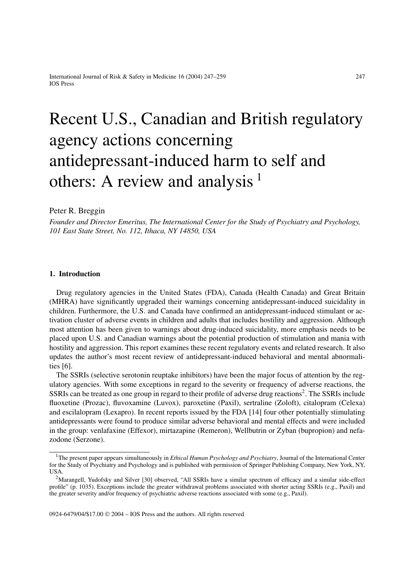# Recent U.S., Canadian and British regulatory agency actions concerning antidepressant-induced harm to self and others: A review and analysis  $<sup>1</sup>$ </sup>

# Peter R. Breggin

*Founder and Director Emeritus, The International Center for the Study of Psychiatry and Psychology, 101 East State Street, No. 112, Ithaca, NY 14850, USA*

# **1. Introduction**

Drug regulatory agencies in the United States (FDA), Canada (Health Canada) and Great Britain (MHRA) have significantly upgraded their warnings concerning antidepressant-induced suicidality in children. Furthermore, the U.S. and Canada have confirmed an antidepressant-induced stimulant or activation cluster of adverse events in children and adults that includes hostility and aggression. Although most attention has been given to warnings about drug-induced suicidality, more emphasis needs to be placed upon U.S. and Canadian warnings about the potential production of stimulation and mania with hostility and aggression. This report examines these recent regulatory events and related research. It also updates the author's most recent review of antidepressant-induced behavioral and mental abnormalities [6].

The SSRIs (selective serotonin reuptake inhibitors) have been the major focus of attention by the regulatory agencies. With some exceptions in regard to the severity or frequency of adverse reactions, the SSRIs can be treated as one group in regard to their profile of adverse drug reactions<sup>2</sup>. The SSRIs include fluoxetine (Prozac), fluvoxamine (Luvox), paroxetine (Paxil), sertraline (Zoloft), citalopram (Celexa) and escilalopram (Lexapro). In recent reports issued by the FDA [14] four other potentially stimulating antidepressants were found to produce similar adverse behavioral and mental effects and were included in the group: venlafaxine (Effexor), mirtazapine (Remeron), Wellbutrin or Zyban (bupropion) and nefazodone (Serzone).

0924-6479/04/\$17.00  $\odot$  2004 – IOS Press and the authors. All rights reserved

<sup>&</sup>lt;sup>1</sup>The present paper appears simultaneously in *Ethical Human Psychology and Psychiatry*, Journal of the International Center for the Study of Psychiatry and Psychology and is published with permission of Springer Publishing Company, New York, NY, USA.

<sup>&</sup>lt;sup>2</sup>Marangell, Yudofsky and Silver [30] observed, "All SSRIs have a similar spectrum of efficacy and a similar side-effect profile" (p. 1035). Exceptions include the greater withdrawal problems associated with shorter acting SSRIs (e.g., Paxil) and the greater severity and/or frequency of psychiatric adverse reactions associated with some (e.g., Paxil).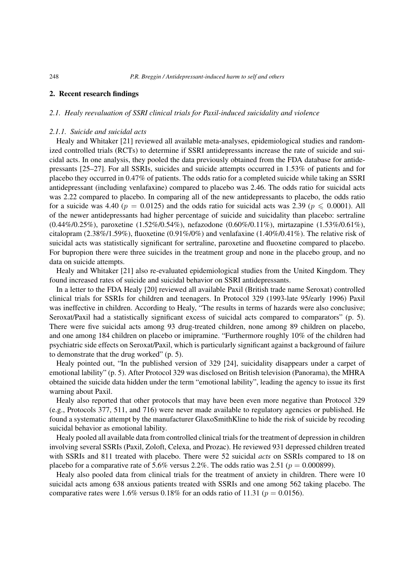## **2. Recent research findings**

### *2.1. Healy reevaluation of SSRI clinical trials for Paxil-induced suicidality and violence*

## *2.1.1. Suicide and suicidal acts*

Healy and Whitaker [21] reviewed all available meta-analyses, epidemiological studies and randomized controlled trials (RCTs) to determine if SSRI antidepressants increase the rate of suicide and suicidal acts. In one analysis, they pooled the data previously obtained from the FDA database for antidepressants [25–27]. For all SSRIs, suicides and suicide attempts occurred in 1.53% of patients and for placebo they occurred in 0.47% of patients. The odds ratio for a completed suicide while taking an SSRI antidepressant (including venlafaxine) compared to placebo was 2.46. The odds ratio for suicidal acts was 2.22 compared to placebo. In comparing all of the new antidepressants to placebo, the odds ratio for a suicide was 4.40 ( $p = 0.0125$ ) and the odds ratio for suicidal acts was 2.39 ( $p \le 0.0001$ ). All of the newer antidepressants had higher percentage of suicide and suicidality than placebo: sertraline (0.44%/0.25%), paroxetine (1.52%/0.54%), nefazodone (0.60%/0.11%), mirtazapine (1.53%/0.61%), citalopram (2.38%/1.59%), fluoxetine (0.91%/0%) and venlafaxine (1.40%/0.41%). The relative risk of suicidal acts was statistically significant for sertraline, paroxetine and fluoxetine compared to placebo. For bupropion there were three suicides in the treatment group and none in the placebo group, and no data on suicide attempts.

Healy and Whitaker [21] also re-evaluated epidemiological studies from the United Kingdom. They found increased rates of suicide and suicidal behavior on SSRI antidepressants.

In a letter to the FDA Healy [20] reviewed all available Paxil (British trade name Seroxat) controlled clinical trials for SSRIs for children and teenagers. In Protocol 329 (1993-late 95/early 1996) Paxil was ineffective in children. According to Healy, "The results in terms of hazards were also conclusive; Seroxat/Paxil had a statistically significant excess of suicidal acts compared to comparators" (p. 5). There were five suicidal acts among 93 drug-treated children, none among 89 children on placebo, and one among 184 children on placebo or imipramine. "Furthermore roughly 10% of the children had psychiatric side effects on Seroxat/Paxil, which is particularly significant against a background of failure to demonstrate that the drug worked" (p. 5).

Healy pointed out, "In the published version of 329 [24], suicidality disappears under a carpet of emotional lability" (p. 5). After Protocol 329 was disclosed on British television (Panorama), the MHRA obtained the suicide data hidden under the term "emotional lability", leading the agency to issue its first warning about Paxil.

Healy also reported that other protocols that may have been even more negative than Protocol 329 (e.g., Protocols 377, 511, and 716) were never made available to regulatory agencies or published. He found a systematic attempt by the manufacturer GlaxoSmithKline to hide the risk of suicide by recoding suicidal behavior as emotional lability.

Healy pooled all available data from controlled clinical trials for the treatment of depression in children involving several SSRIs (Paxil, Zoloft, Celexa, and Prozac). He reviewed 931 depressed children treated with SSRIs and 811 treated with placebo. There were 52 suicidal *acts* on SSRIs compared to 18 on placebo for a comparative rate of 5.6% versus 2.2%. The odds ratio was 2.51 ( $p = 0.000899$ ).

Healy also pooled data from clinical trials for the treatment of anxiety in children. There were 10 suicidal acts among 638 anxious patients treated with SSRIs and one among 562 taking placebo. The comparative rates were 1.6% versus 0.18% for an odds ratio of 11.31 ( $p = 0.0156$ ).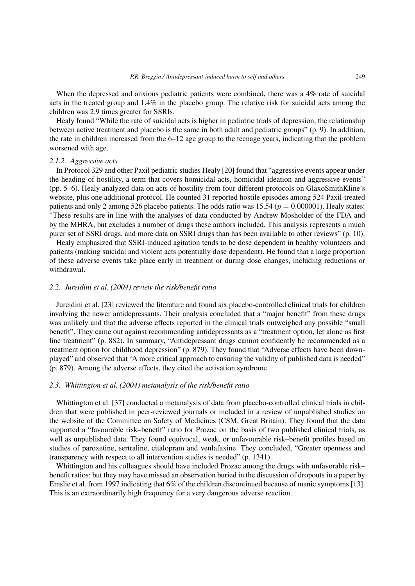When the depressed and anxious pediatric patients were combined, there was a 4% rate of suicidal acts in the treated group and 1.4% in the placebo group. The relative risk for suicidal acts among the children was 2.9 times greater for SSRIs.

Healy found "While the rate of suicidal acts is higher in pediatric trials of depression, the relationship between active treatment and placebo is the same in both adult and pediatric groups" (p. 9). In addition, the rate in children increased from the 6–12 age group to the teenage years, indicating that the problem worsened with age.

#### *2.1.2. Aggressive acts*

In Protocol 329 and other Paxil pediatric studies Healy [20] found that "aggressive events appear under the heading of hostility, a term that covers homicidal acts, homicidal ideation and aggressive events" (pp. 5–6). Healy analyzed data on acts of hostility from four different protocols on GlaxoSmithKline's website, plus one additional protocol. He counted 31 reported hostile episodes among 524 Paxil-treated patients and only 2 among 526 placebo patients. The odds ratio was 15.54 ( $p = 0.000001$ ). Healy states: "These results are in line with the analyses of data conducted by Andrew Mosholder of the FDA and by the MHRA, but excludes a number of drugs these authors included. This analysis represents a much purer set of SSRI drugs, and more data on SSRI drugs than has been available to other reviews" (p. 10).

Healy emphasized that SSRI-induced agitation tends to be dose dependent in healthy volunteers and patients (making suicidal and violent acts potentially dose dependent). He found that a large proportion of these adverse events take place early in treatment or during dose changes, including reductions or withdrawal.

## *2.2. Jureidini et al. (2004) review the risk/benefit ratio*

Jureidini et al. [23] reviewed the literature and found six placebo-controlled clinical trials for children involving the newer antidepressants. Their analysis concluded that a "major benefit" from these drugs was unlikely and that the adverse effects reported in the clinical trials outweighed any possible "small benefit". They came out against recommending antidepressants as a "treatment option, let alone as first line treatment" (p. 882). In summary, "Antidepressant drugs cannot confidently be recommended as a treatment option for childhood depression" (p. 879). They found that "Adverse effects have been downplayed" and observed that "A more critical approach to ensuring the validity of published data is needed" (p. 879). Among the adverse effects, they cited the activation syndrome.

## *2.3. Whittington et al. (2004) metanalysis of the risk/benefit ratio*

Whittington et al. [37] conducted a metanalysis of data from placebo-controlled clinical trials in children that were published in peer-reviewed journals or included in a review of unpublished studies on the website of the Committee on Safety of Medicines (CSM, Great Britain). They found that the data supported a "favourable risk–benefit" ratio for Prozac on the basis of two published clinical trials, as well as unpublished data. They found equivocal, weak, or unfavourable risk–benefit profiles based on studies of paroxetine, sertraline, citalopram and venlafaxine. They concluded, "Greater openness and transparency with respect to all intervention studies is needed" (p. 1341).

Whittington and his colleagues should have included Prozac among the drugs with unfavorable risk– benefit ratios; but they may have missed an observation buried in the discussion of dropouts in a paper by Emslie et al. from 1997 indicating that 6% of the children discontinued because of manic symptoms [13]. This is an extraordinarily high frequency for a very dangerous adverse reaction.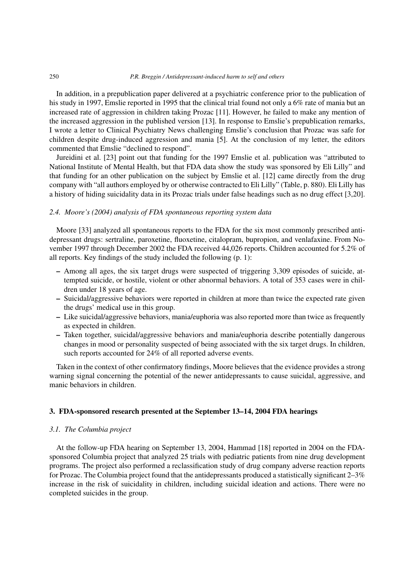In addition, in a prepublication paper delivered at a psychiatric conference prior to the publication of his study in 1997, Emslie reported in 1995 that the clinical trial found not only a 6% rate of mania but an increased rate of aggression in children taking Prozac [11]. However, he failed to make any mention of the increased aggression in the published version [13]. In response to Emslie's prepublication remarks, I wrote a letter to Clinical Psychiatry News challenging Emslie's conclusion that Prozac was safe for children despite drug-induced aggression and mania [5]. At the conclusion of my letter, the editors commented that Emslie "declined to respond".

Jureidini et al. [23] point out that funding for the 1997 Emslie et al. publication was "attributed to National Institute of Mental Health, but that FDA data show the study was sponsored by Eli Lilly" and that funding for an other publication on the subject by Emslie et al. [12] came directly from the drug company with "all authors employed by or otherwise contracted to Eli Lilly" (Table, p. 880). Eli Lilly has a history of hiding suicidality data in its Prozac trials under false headings such as no drug effect [3,20].

# *2.4. Moore's (2004) analysis of FDA spontaneous reporting system data*

Moore [33] analyzed all spontaneous reports to the FDA for the six most commonly prescribed antidepressant drugs: sertraline, paroxetine, fluoxetine, citalopram, bupropion, and venlafaxine. From November 1997 through December 2002 the FDA received 44,026 reports. Children accounted for 5.2% of all reports. Key findings of the study included the following (p. 1):

- **–** Among all ages, the six target drugs were suspected of triggering 3,309 episodes of suicide, attempted suicide, or hostile, violent or other abnormal behaviors. A total of 353 cases were in children under 18 years of age.
- **–** Suicidal/aggressive behaviors were reported in children at more than twice the expected rate given the drugs' medical use in this group.
- **–** Like suicidal/aggressive behaviors, mania/euphoria was also reported more than twice as frequently as expected in children.
- **–** Taken together, suicidal/aggressive behaviors and mania/euphoria describe potentially dangerous changes in mood or personality suspected of being associated with the six target drugs. In children, such reports accounted for 24% of all reported adverse events.

Taken in the context of other confirmatory findings, Moore believes that the evidence provides a strong warning signal concerning the potential of the newer antidepressants to cause suicidal, aggressive, and manic behaviors in children.

## **3. FDA-sponsored research presented at the September 13–14, 2004 FDA hearings**

## *3.1. The Columbia project*

At the follow-up FDA hearing on September 13, 2004, Hammad [18] reported in 2004 on the FDAsponsored Columbia project that analyzed 25 trials with pediatric patients from nine drug development programs. The project also performed a reclassification study of drug company adverse reaction reports for Prozac. The Columbia project found that the antidepressants produced a statistically significant 2–3% increase in the risk of suicidality in children, including suicidal ideation and actions. There were no completed suicides in the group.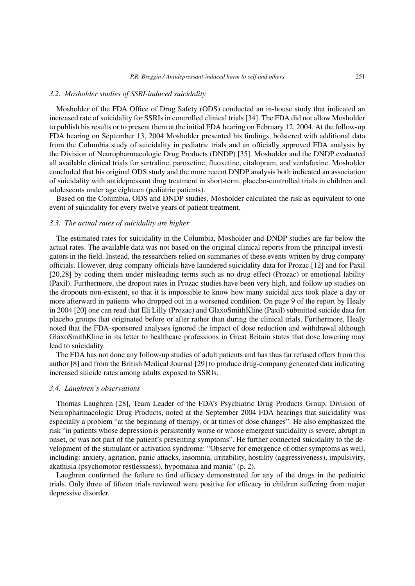#### *3.2. Mosholder studies of SSRI-induced suicidality*

Mosholder of the FDA Office of Drug Safety (ODS) conducted an in-house study that indicated an increased rate of suicidality for SSRIs in controlled clinical trials [34]. The FDA did not allow Mosholder to publish his results or to present them at the initial FDA hearing on February 12, 2004. At the follow-up FDA hearing on September 13, 2004 Mosholder presented his findings, bolstered with additional data from the Columbia study of suicidality in pediatric trials and an officially approved FDA analysis by the Division of Neuropharmacologic Drug Products (DNDP) [35]. Mosholder and the DNDP evaluated all available clinical trials for sertraline, paroxetine, fluoxetine, citalopram, and venlafaxine. Mosholder concluded that his original ODS study and the more recent DNDP analysis both indicated an association of suicidality with antidepressant drug treatment in short-term, placebo-controlled trials in children and adolescents under age eighteen (pediatric patients).

Based on the Columbia, ODS and DNDP studies, Mosholder calculated the risk as equivalent to one event of suicidality for every twelve years of patient treatment.

## *3.3. The actual rates of suicidality are higher*

The estimated rates for suicidality in the Columbia, Mosholder and DNDP studies are far below the actual rates. The available data was not based on the original clinical reports from the principal investigators in the field. Instead, the researchers relied on summaries of these events written by drug company officials. However, drug company officials have laundered suicidality data for Prozac [12] and for Paxil [20,28] by coding them under misleading terms such as no drug effect (Prozac) or emotional lability (Paxil). Furthermore, the dropout rates in Prozac studies have been very high, and follow up studies on the dropouts non-existent, so that it is impossible to know how many suicidal acts took place a day or more afterward in patients who dropped out in a worsened condition. On page 9 of the report by Healy in 2004 [20] one can read that Eli Lilly (Prozac) and GlaxoSmithKline (Paxil) submitted suicide data for placebo groups that originated before or after rather than during the clinical trials. Furthermore, Healy noted that the FDA-sponsored analyses ignored the impact of dose reduction and withdrawal although GlaxoSmithKline in its letter to healthcare professions in Great Britain states that dose lowering may lead to suicidality.

The FDA has not done any follow-up studies of adult patients and has thus far refused offers from this author [8] and from the British Medical Journal [29] to produce drug-company generated data indicating increased suicide rates among adults exposed to SSRIs.

#### *3.4. Laughren's observations*

Thomas Laughren [28], Team Leader of the FDA's Psychiatric Drug Products Group, Division of Neuropharmacologic Drug Products, noted at the September 2004 FDA hearings that suicidality was especially a problem "at the beginning of therapy, or at times of dose changes". He also emphasized the risk "in patients whose depression is persistently worse or whose emergent suicidality is severe, abrupt in onset, or was not part of the patient's presenting symptoms". He further connected suicidality to the development of the stimulant or activation syndrome: "Observe for emergence of other symptoms as well, including: anxiety, agitation, panic attacks, insomnia, irritability, hostility (aggressiveness), impulsivity, akathisia (psychomotor restlessness), hypomania and mania" (p. 2).

Laughren confirmed the failure to find efficacy demonstrated for any of the drugs in the pediatric trials. Only three of fifteen trials reviewed were positive for efficacy in children suffering from major depressive disorder.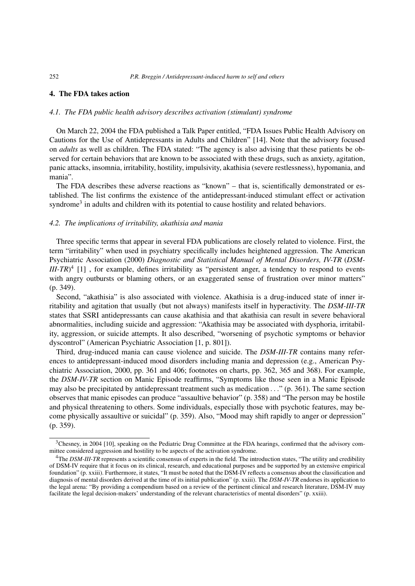### **4. The FDA takes action**

## *4.1. The FDA public health advisory describes activation (stimulant) syndrome*

On March 22, 2004 the FDA published a Talk Paper entitled, "FDA Issues Public Health Advisory on Cautions for the Use of Antidepressants in Adults and Children" [14]. Note that the advisory focused on *adults* as well as children. The FDA stated: "The agency is also advising that these patients be observed for certain behaviors that are known to be associated with these drugs, such as anxiety, agitation, panic attacks, insomnia, irritability, hostility, impulsivity, akathisia (severe restlessness), hypomania, and mania".

The FDA describes these adverse reactions as "known" – that is, scientifically demonstrated or established. The list confirms the existence of the antidepressant-induced stimulant effect or activation syndrome<sup>3</sup> in adults and children with its potential to cause hostility and related behaviors.

## *4.2. The implications of irritability, akathisia and mania*

Three specific terms that appear in several FDA publications are closely related to violence. First, the term "irritability" when used in psychiatry specifically includes heightened aggression. The American Psychiatric Association (2000) *Diagnostic and Statistical Manual of Mental Disorders, IV-TR* (*DSM-III-TR*<sup>4</sup> [1], for example, defines irritability as "persistent anger, a tendency to respond to events with angry outbursts or blaming others, or an exaggerated sense of frustration over minor matters" (p. 349).

Second, "akathisia" is also associated with violence. Akathisia is a drug-induced state of inner irritability and agitation that usually (but not always) manifests itself in hyperactivity. The *DSM-III-TR* states that SSRI antidepressants can cause akathisia and that akathisia can result in severe behavioral abnormalities, including suicide and aggression: "Akathisia may be associated with dysphoria, irritability, aggression, or suicide attempts. It also described, "worsening of psychotic symptoms or behavior dyscontrol" (American Psychiatric Association [1, p. 801]).

Third, drug-induced mania can cause violence and suicide. The *DSM-III-TR* contains many references to antidepressant-induced mood disorders including mania and depression (e.g., American Psychiatric Association, 2000, pp. 361 and 406; footnotes on charts, pp. 362, 365 and 368). For example, the *DSM-IV-TR* section on Manic Episode reaffirms, "Symptoms like those seen in a Manic Episode may also be precipitated by antidepressant treatment such as medication ..." (p. 361). The same section observes that manic episodes can produce "assaultive behavior" (p. 358) and "The person may be hostile and physical threatening to others. Some individuals, especially those with psychotic features, may become physically assaultive or suicidal" (p. 359). Also, "Mood may shift rapidly to anger or depression" (p. 359).

<sup>&</sup>lt;sup>3</sup>Chesney, in 2004 [10], speaking on the Pediatric Drug Committee at the FDA hearings, confirmed that the advisory committee considered aggression and hostility to be aspects of the activation syndrome.

<sup>&</sup>lt;sup>4</sup>The *DSM-III-TR* represents a scientific consensus of experts in the field. The introduction states, "The utility and credibility of DSM-IV require that it focus on its clinical, research, and educational purposes and be supported by an extensive empirical foundation" (p. xxiii). Furthermore, it states, "It must be noted that the DSM-IV reflects a consensus about the classification and diagnosis of mental disorders derived at the time of its initial publication" (p. xxiii). The *DSM-IV-TR* endorses its application to the legal arena: "By providing a compendium based on a review of the pertinent clinical and research literature, DSM-IV may facilitate the legal decision-makers' understanding of the relevant characteristics of mental disorders" (p. xxiii).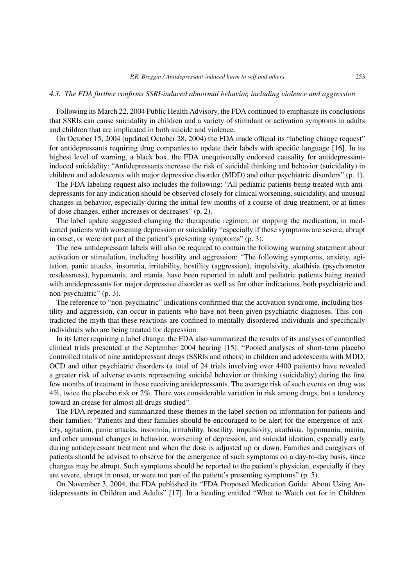#### *4.3. The FDA further confirms SSRI-induced abnormal behavior, including violence and aggression*

Following its March 22, 2004 Public Health Advisory, the FDA continued to emphasize its conclusions that SSRIs can cause suicidality in children and a variety of stimulant or activation symptoms in adults and children that are implicated in both suicide and violence.

On October 15, 2004 (updated October 28, 2004) the FDA made official its "labeling change request" for antidepressants requiring drug companies to update their labels with specific language [16]. In its highest level of warning, a black box, the FDA unequivocally endorsed causality for antidepressantinduced suicidality: "Antidepressants increase the risk of suicidal thinking and behavior (suicidality) in children and adolescents with major depressive disorder (MDD) and other psychiatric disorders" (p. 1).

The FDA labeling request also includes the following: "All pediatric patients being treated with antidepressants for any indication should be observed closely for clinical worsening, suicidality, and unusual changes in behavior, especially during the initial few months of a course of drug treatment, or at times of dose changes, either increases or decreases" (p. 2).

The label update suggested changing the therapeutic regimen, or stopping the medication, in medicated patients with worsening depression or suicidality "especially if these symptoms are severe, abrupt in onset, or were not part of the patient's presenting symptoms" (p. 3).

The new antidepressant labels will also be required to contain the following warning statement about activation or stimulation, including hostility and aggression: "The following symptoms, anxiety, agitation, panic attacks, insomnia, irritability, hostility (aggression), impulsivity, akathisia (psychomotor restlessness), hypomania, and mania, have been reported in adult and pediatric patients being treated with antidepressants for major depressive disorder as well as for other indications, both psychiatric and non-psychiatric" (p. 3).

The reference to "non-psychiatric" indications confirmed that the activation syndrome, including hostility and aggression, can occur in patients who have not been given psychiatric diagnoses. This contradicted the myth that these reactions are confined to mentally disordered individuals and specifically individuals who are being treated for depression.

In its letter requiring a label change, the FDA also summarized the results of its analyses of controlled clinical trials presented at the September 2004 hearing [15]: "Pooled analyses of short-term placebo controlled trials of nine antidepressant drugs (SSRIs and others) in children and adolescents with MDD, OCD and other psychiatric disorders (a total of 24 trials involving over 4400 patients) have revealed a greater risk of adverse events representing suicidal behavior or thinking (suicidality) during the first few months of treatment in those receiving antidepressants. The average risk of such events on drug was 4%, twice the placebo risk or 2%. There was considerable variation in risk among drugs, but a tendency toward an crease for almost all drugs studied".

The FDA repeated and summarized these themes in the label section on information for patients and their families: "Patients and their families should be encouraged to be alert for the emergence of anxiety, agitation, panic attacks, insomnia, irritability, hostility, impulsivity, akathisia, hypomania, mania, and other unusual changes in behavior, worsening of depression, and suicidal ideation, especially early during antidepressant treatment and when the dose is adjusted up or down. Families and caregivers of patients should be advised to observe for the emergence of such symptoms on a day-to-day basis, since changes may be abrupt. Such symptoms should be reported to the patient's physician, especially if they are severe, abrupt in onset, or were not part of the patient's presenting symptoms" (p. 5).

On November 3, 2004, the FDA published its "FDA Proposed Medication Guide: About Using Antidepressants in Children and Adults" [17]. In a heading entitled "What to Watch out for in Children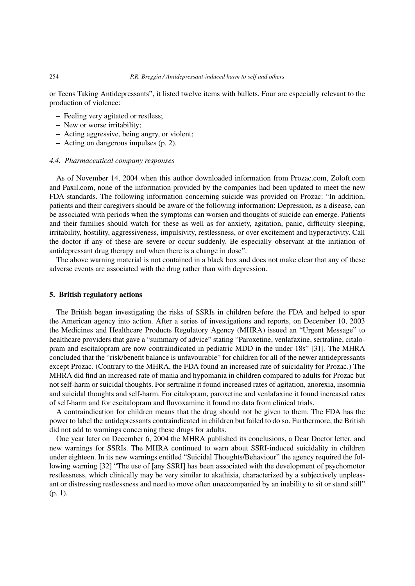or Teens Taking Antidepressants", it listed twelve items with bullets. Four are especially relevant to the production of violence:

- **–** Feeling very agitated or restless;
- **–** New or worse irritability;
- **–** Acting aggressive, being angry, or violent;
- **–** Acting on dangerous impulses (p. 2).

## *4.4. Pharmaceutical company responses*

As of November 14, 2004 when this author downloaded information from Prozac.com, Zoloft.com and Paxil.com, none of the information provided by the companies had been updated to meet the new FDA standards. The following information concerning suicide was provided on Prozac: "In addition, patients and their caregivers should be aware of the following information: Depression, as a disease, can be associated with periods when the symptoms can worsen and thoughts of suicide can emerge. Patients and their families should watch for these as well as for anxiety, agitation, panic, difficulty sleeping, irritability, hostility, aggressiveness, impulsivity, restlessness, or over excitement and hyperactivity. Call the doctor if any of these are severe or occur suddenly. Be especially observant at the initiation of antidepressant drug therapy and when there is a change in dose".

The above warning material is not contained in a black box and does not make clear that any of these adverse events are associated with the drug rather than with depression.

## **5. British regulatory actions**

The British began investigating the risks of SSRIs in children before the FDA and helped to spur the American agency into action. After a series of investigations and reports, on December 10, 2003 the Medicines and Healthcare Products Regulatory Agency (MHRA) issued an "Urgent Message" to healthcare providers that gave a "summary of advice" stating "Paroxetine, venlafaxine, sertraline, citalopram and escitalopram are now contraindicated in pediatric MDD in the under 18s" [31]. The MHRA concluded that the "risk/benefit balance is unfavourable" for children for all of the newer antidepressants except Prozac. (Contrary to the MHRA, the FDA found an increased rate of suicidality for Prozac.) The MHRA did find an increased rate of mania and hypomania in children compared to adults for Prozac but not self-harm or suicidal thoughts. For sertraline it found increased rates of agitation, anorexia, insomnia and suicidal thoughts and self-harm. For citalopram, paroxetine and venlafaxine it found increased rates of self-harm and for escitalopram and fluvoxamine it found no data from clinical trials.

A contraindication for children means that the drug should not be given to them. The FDA has the power to label the antidepressants contraindicated in children but failed to do so. Furthermore, the British did not add to warnings concerning these drugs for adults.

One year later on December 6, 2004 the MHRA published its conclusions, a Dear Doctor letter, and new warnings for SSRIs. The MHRA continued to warn about SSRI-induced suicidality in children under eighteen. In its new warnings entitled "Suicidal Thoughts/Behaviour" the agency required the following warning [32] "The use of [any SSRI] has been associated with the development of psychomotor restlessness, which clinically may be very similar to akathisia, characterized by a subjectively unpleasant or distressing restlessness and need to move often unaccompanied by an inability to sit or stand still" (p. 1).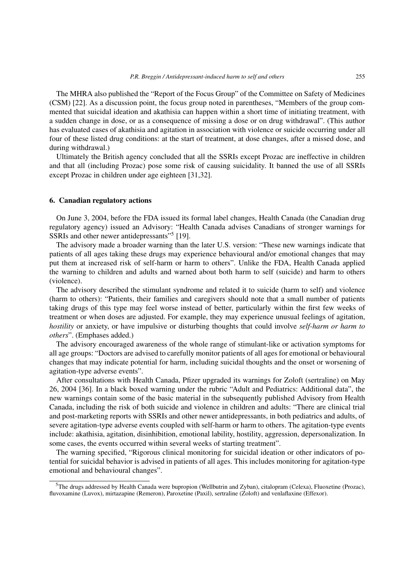The MHRA also published the "Report of the Focus Group" of the Committee on Safety of Medicines (CSM) [22]. As a discussion point, the focus group noted in parentheses, "Members of the group commented that suicidal ideation and akathisia can happen within a short time of initiating treatment, with a sudden change in dose, or as a consequence of missing a dose or on drug withdrawal". (This author has evaluated cases of akathisia and agitation in association with violence or suicide occurring under all four of these listed drug conditions: at the start of treatment, at dose changes, after a missed dose, and during withdrawal.)

Ultimately the British agency concluded that all the SSRIs except Prozac are ineffective in children and that all (including Prozac) pose some risk of causing suicidality. It banned the use of all SSRIs except Prozac in children under age eighteen [31,32].

#### **6. Canadian regulatory actions**

On June 3, 2004, before the FDA issued its formal label changes, Health Canada (the Canadian drug regulatory agency) issued an Advisory: "Health Canada advises Canadians of stronger warnings for SSRIs and other newer antidepressants<sup>"5</sup> [19].

The advisory made a broader warning than the later U.S. version: "These new warnings indicate that patients of all ages taking these drugs may experience behavioural and/or emotional changes that may put them at increased risk of self-harm or harm to others". Unlike the FDA, Health Canada applied the warning to children and adults and warned about both harm to self (suicide) and harm to others (violence).

The advisory described the stimulant syndrome and related it to suicide (harm to self) and violence (harm to others): "Patients, their families and caregivers should note that a small number of patients taking drugs of this type may feel worse instead of better, particularly within the first few weeks of treatment or when doses are adjusted. For example, they may experience unusual feelings of agitation, *hostility* or anxiety, or have impulsive or disturbing thoughts that could involve *self-harm or harm to others*". (Emphases added.)

The advisory encouraged awareness of the whole range of stimulant-like or activation symptoms for all age groups: "Doctors are advised to carefully monitor patients of all ages for emotional or behavioural changes that may indicate potential for harm, including suicidal thoughts and the onset or worsening of agitation-type adverse events".

After consultations with Health Canada, Pfizer upgraded its warnings for Zoloft (sertraline) on May 26, 2004 [36]. In a black boxed warning under the rubric "Adult and Pediatrics: Additional data", the new warnings contain some of the basic material in the subsequently published Advisory from Health Canada, including the risk of both suicide and violence in children and adults: "There are clinical trial and post-marketing reports with SSRIs and other newer antidepressants, in both pediatrics and adults, of severe agitation-type adverse events coupled with self-harm or harm to others. The agitation-type events include: akathisia, agitation, disinhibition, emotional lability, hostility, aggression, depersonalization. In some cases, the events occurred within several weeks of starting treatment".

The warning specified, "Rigorous clinical monitoring for suicidal ideation or other indicators of potential for suicidal behavior is advised in patients of all ages. This includes monitoring for agitation-type emotional and behavioural changes".

<sup>5</sup>The drugs addressed by Health Canada were bupropion (Wellbutrin and Zyban), citalopram (Celexa), Fluoxetine (Prozac), fluvoxamine (Luvox), mirtazapine (Remeron), Paroxetine (Paxil), sertraline (Zoloft) and venlaflaxine (Effexor).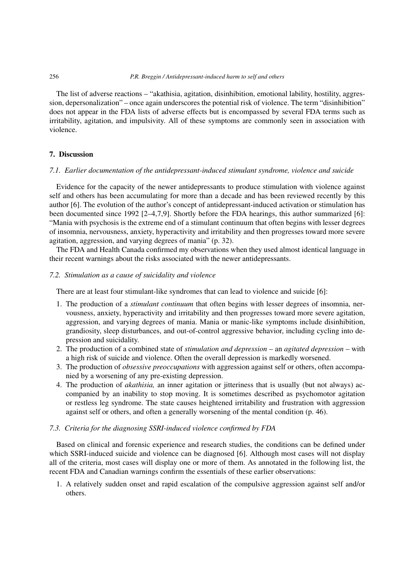The list of adverse reactions – "akathisia, agitation, disinhibition, emotional lability, hostility, aggression, depersonalization" – once again underscores the potential risk of violence. The term "disinhibition" does not appear in the FDA lists of adverse effects but is encompassed by several FDA terms such as irritability, agitation, and impulsivity. All of these symptoms are commonly seen in association with violence.

## **7. Discussion**

# *7.1. Earlier documentation of the antidepressant-induced stimulant syndrome, violence and suicide*

Evidence for the capacity of the newer antidepressants to produce stimulation with violence against self and others has been accumulating for more than a decade and has been reviewed recently by this author [6]. The evolution of the author's concept of antidepressant-induced activation or stimulation has been documented since 1992 [2–4,7,9]. Shortly before the FDA hearings, this author summarized [6]: "Mania with psychosis is the extreme end of a stimulant continuum that often begins with lesser degrees of insomnia, nervousness, anxiety, hyperactivity and irritability and then progresses toward more severe agitation, aggression, and varying degrees of mania" (p. 32).

The FDA and Health Canada confirmed my observations when they used almost identical language in their recent warnings about the risks associated with the newer antidepressants.

## *7.2. Stimulation as a cause of suicidality and violence*

There are at least four stimulant-like syndromes that can lead to violence and suicide [6]:

- 1. The production of a *stimulant continuum* that often begins with lesser degrees of insomnia, nervousness, anxiety, hyperactivity and irritability and then progresses toward more severe agitation, aggression, and varying degrees of mania. Mania or manic-like symptoms include disinhibition, grandiosity, sleep disturbances, and out-of-control aggressive behavior, including cycling into depression and suicidality.
- 2. The production of a combined state of *stimulation and depression* an *agitated depression* with a high risk of suicide and violence. Often the overall depression is markedly worsened.
- 3. The production of *obsessive preoccupations* with aggression against self or others, often accompanied by a worsening of any pre-existing depression.
- 4. The production of *akathisia,* an inner agitation or jitteriness that is usually (but not always) accompanied by an inability to stop moving. It is sometimes described as psychomotor agitation or restless leg syndrome. The state causes heightened irritability and frustration with aggression against self or others, and often a generally worsening of the mental condition (p. 46).

## *7.3. Criteria for the diagnosing SSRI-induced violence confirmed by FDA*

Based on clinical and forensic experience and research studies, the conditions can be defined under which SSRI-induced suicide and violence can be diagnosed [6]. Although most cases will not display all of the criteria, most cases will display one or more of them. As annotated in the following list, the recent FDA and Canadian warnings confirm the essentials of these earlier observations:

1. A relatively sudden onset and rapid escalation of the compulsive aggression against self and/or others.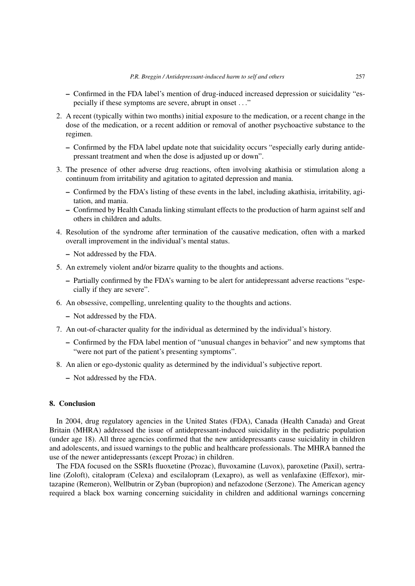- **–** Confirmed in the FDA label's mention of drug-induced increased depression or suicidality "especially if these symptoms are severe, abrupt in onset ..."
- 2. A recent (typically within two months) initial exposure to the medication, or a recent change in the dose of the medication, or a recent addition or removal of another psychoactive substance to the regimen.
	- **–** Confirmed by the FDA label update note that suicidality occurs "especially early during antidepressant treatment and when the dose is adjusted up or down".
- 3. The presence of other adverse drug reactions, often involving akathisia or stimulation along a continuum from irritability and agitation to agitated depression and mania.
	- **–** Confirmed by the FDA's listing of these events in the label, including akathisia, irritability, agitation, and mania.
	- **–** Confirmed by Health Canada linking stimulant effects to the production of harm against self and others in children and adults.
- 4. Resolution of the syndrome after termination of the causative medication, often with a marked overall improvement in the individual's mental status.
	- **–** Not addressed by the FDA.
- 5. An extremely violent and/or bizarre quality to the thoughts and actions.
	- **–** Partially confirmed by the FDA's warning to be alert for antidepressant adverse reactions "especially if they are severe".
- 6. An obsessive, compelling, unrelenting quality to the thoughts and actions.
	- **–** Not addressed by the FDA.
- 7. An out-of-character quality for the individual as determined by the individual's history.
	- **–** Confirmed by the FDA label mention of "unusual changes in behavior" and new symptoms that "were not part of the patient's presenting symptoms".
- 8. An alien or ego-dystonic quality as determined by the individual's subjective report.
	- **–** Not addressed by the FDA.

# **8. Conclusion**

In 2004, drug regulatory agencies in the United States (FDA), Canada (Health Canada) and Great Britain (MHRA) addressed the issue of antidepressant-induced suicidality in the pediatric population (under age 18). All three agencies confirmed that the new antidepressants cause suicidality in children and adolescents, and issued warnings to the public and healthcare professionals. The MHRA banned the use of the newer antidepressants (except Prozac) in children.

The FDA focused on the SSRIs fluoxetine (Prozac), fluvoxamine (Luvox), paroxetine (Paxil), sertraline (Zoloft), citalopram (Celexa) and escilalopram (Lexapro), as well as venlafaxine (Effexor), mirtazapine (Remeron), Wellbutrin or Zyban (bupropion) and nefazodone (Serzone). The American agency required a black box warning concerning suicidality in children and additional warnings concerning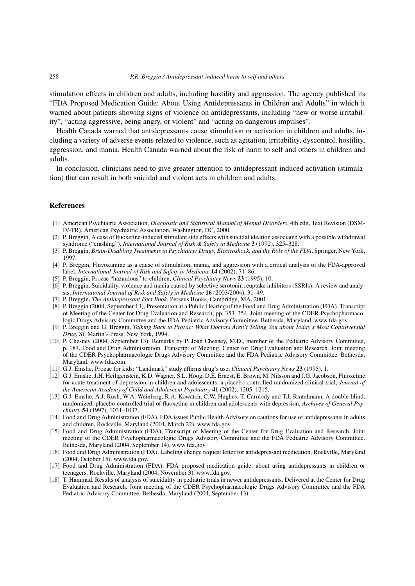stimulation effects in children and adults, including hostility and aggression. The agency published its "FDA Proposed Medication Guide: About Using Antidepressants in Children and Adults" in which it warned about patients showing signs of violence on antidepressants, including "new or worse irritability", "acting aggressive, being angry, or violent" and "acting on dangerous impulses".

Health Canada warned that antidepressants cause stimulation or activation in children and adults, including a variety of adverse events related to violence, such as agitation, irritability, dyscontrol, hostility, aggression, and mania. Health Canada warned about the risk of harm to self and others in children and adults.

In conclusion, clinicians need to give greater attention to antidepressant-induced activation (stimulation) that can result in both suicidal and violent acts in children and adults.

## **References**

- [1] American Psychiatric Association, *Diagnostic and Statistical Manual of Mental Disorders*, 4th edn, Text Revision (DSM-IV-TR), American Psychiatric Association, Washington, DC, 2000.
- [2] P. Breggin, A case of fluoxetine-induced stimulant side effects with suicidal ideation associated with a possible withdrawal syndrome ("crashing"), *International Journal of Risk & Safety in Medicine* **3** (1992), 325–328.
- [3] P. Breggin, *Brain-Disabling Treatments in Psychiatry: Drugs, Electroshock, and the Role of the FDA*, Springer, New York, 1997.
- [4] P. Breggin, Fluvoxamine as a cause of stimulation, mania, and aggression with a critical analysis of the FDA-approved label, *International Journal of Risk and Safety in Medicine* **14** (2002), 71–86.
- [5] P. Breggin, Prozac "hazardous" to children, *Clinical Psychiatry News* **23** (1995), 10.
- [6] P. Breggin, Suicidality, violence and mania caused by selective serotonin reuptake inhibitors (SSRIs): A review and analysis, *International Journal of Risk and Safety in Medicine* **16** (2003/2004), 31–49.
- [7] P. Breggin, *The Antidepressant Fact Book*, Perseus Books, Cambridge, MA, 2001.
- [8] P. Breggin (2004, September 13), Presentation at a Public Hearing of the Food and Drug Administration (FDA). Transcript of Meeting of the Center for Drug Evaluation and Research, pp. 353–354. Joint meeting of the CDER Psychopharmacologic Drugs Advisory Committee and the FDA Pediatric Advisory Committee. Bethesda, Maryland. www.fda.gov.
- [9] P. Breggin and G. Breggin, *Talking Back to Prozac: What Doctors Aren't Telling You about Today's Most Controversial Drug*, St. Martin's Press, New York, 1994.
- [10] P. Chesney (2004, September 13), Remarks by P. Joan Chesney, M.D., member of the Pediatric Advisory Committee, p. 187. Food and Drug Administration. Transcript of Meeting. Center for Drug Evaluation and Research. Joint meeting of the CDER Psychopharmacologic Drugs Advisory Committee and the FDA Pediatric Advisory Committee. Bethesda, Maryland. www.fda.com.
- [11] G.J. Emslie, Prozac for kids: "Landmark" study affirms drug's use, *Clinical Psychiatry News* **23** (1995), 1.
- [12] G.J. Emslie, J.H. Heiligenstein, K.D. Wagner, S.L. Hoog, D.E. Ernest, E. Brown, M. Nilsson and J.G. Jacobson, Fluoxetine for acute treatment of depression in children and adolescents: a placebo-controlled randomized clinical trial, *Journal of the American Academy of Child and Adolescent Psychiatry* **41** (2002), 1205–1215.
- [13] G.J. Emslie, A.J. Rush, W.A. Weinberg, R.A. Kowatch, C.W. Hughes, T. Carmody and T.J. Rintelmann, A double-blind, randomized, placebo-controlled trial of fluoxetine in children and adolescents with depression, *Archives of General Psychiatry* **54** (1997), 1031–1037.
- [14] Food and Drug Administration (FDA), FDA issues Public Health Advisory on cautions for use of antidepressants in adults and children, Rockville, Maryland (2004, March 22). www.fda.gov.
- [15] Food and Drug Administration (FDA), Transcript of Meeting of the Center for Drug Evaluation and Research. Joint meeting of the CDER Psychopharmacologic Drugs Advisory Committee and the FDA Pediatric Advisory Committee. Bethesda, Maryland (2004, September 14). www.fda.gov.
- [16] Food and Drug Administration (FDA), Labeling change request letter for antidepressant medication. Rockville, Maryland (2004, October 15). www.fda.gov.
- [17] Food and Drug Administration (FDA), FDA proposed medication guide: about using antidepressants in children or teenagers. Rockville, Maryland (2004, November 3). www.fda.gov.
- [18] T. Hammad, Results of analysis of suicidality in pediatric trials in newer antidepressants. Delivered at the Center for Drug Evaluation and Research. Joint meeting of the CDER Psychopharmacologic Drugs Advisory Committee and the FDA Pediatric Advisory Committee. Bethesda, Maryland (2004, September 13).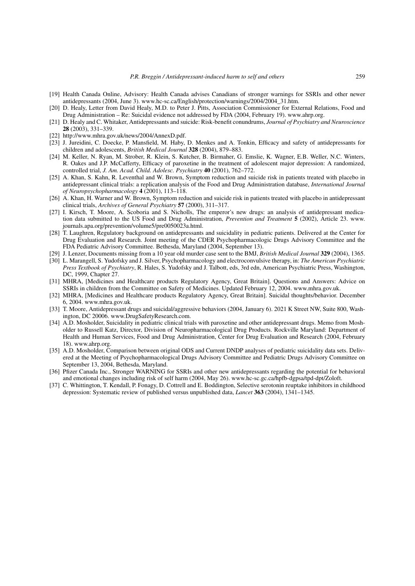- [19] Health Canada Online, Advisory: Health Canada advises Canadians of stronger warnings for SSRIs and other newer antidepressants (2004, June 3). www.hc-sc.ca/English/protection/warnings/2004/2004\_31.htm.
- [20] D. Healy, Letter from David Healy, M.D. to Peter J. Pitts, Association Commissioner for External Relations, Food and Drug Administration – Re: Suicidal evidence not addressed by FDA (2004, February 19). www.ahrp.org.
- [21] D. Healy and C. Whitaker, Antidepressants and suicide: Risk-benefit conundrums, *Journal of Psychiatry and Neuroscience* **28** (2003), 331–339.
- [22] http://www.mhra.gov.uk/news/2004/AnnexD.pdf.
- [23] J. Jureidini, C. Doecke, P. Mansfield, M. Haby, D. Menkes and A. Tonkin, Efficacy and safety of antidepressants for children and adolescents, *British Medical Journal* **328** (2004), 879–883.
- [24] M. Keller, N. Ryan, M. Strober, R. Klein, S. Kutcher, B. Birmaher, G. Emslie, K. Wagner, E.B. Weller, N.C. Winters, R. Oakes and J.P. McCafferty, Efficacy of paroxetine in the treatment of adolescent major depression: A randomized, controlled trial, *J. Am. Acad. Child. Adolesc. Psychiatry* **40** (2001), 762–772.
- [25] A. Khan, S. Kahn, R. Leventhal and W. Brown, Symptom reduction and suicide risk in patients treated with placebo in antidepressant clinical trials: a replication analysis of the Food and Drug Administration database, *International Journal of Neuropsychopharmacology* **4** (2001), 113–118.
- [26] A. Khan, H. Warner and W. Brown, Symptom reduction and suicide risk in patients treated with placebo in antidepressant clinical trials, *Archives of General Psychiatry* **57** (2000), 311–317.
- [27] I. Kirsch, T. Moore, A. Scoboria and S. Nicholls, The emperor's new drugs: an analysis of antidepressant medication data submitted to the US Food and Drug Administration, *Prevention and Treatment* **5** (2002), Article 23. www. journals.apa.org/prevention/volume5/pre0050023a.html.
- [28] T. Laughren, Regulatory background on antidepressants and suicidality in pediatric patients. Delivered at the Center for Drug Evaluation and Research. Joint meeting of the CDER Psychopharmacologic Drugs Advisory Committee and the FDA Pediatric Advisory Committee. Bethesda, Maryland (2004, September 13).
- [29] J. Lenzer, Documents missing from a 10 year old murder case sent to the BMJ, *British Medical Journal* **329** (2004), 1365.
- [30] L. Marangell, S. Yudofsky and J. Silver, Psychopharmacology and electroconvulsive therapy, in: *The American Psychiatric Press Textbook of Psychiatry*, R. Hales, S. Yudofsky and J. Talbott, eds, 3rd edn, American Psychiatric Press, Washington, DC, 1999, Chapter 27.
- [31] MHRA, [Medicines and Healthcare products Regulatory Agency, Great Britain]. Questions and Answers: Advice on SSRIs in children from the Committee on Safety of Medicines. Updated February 12, 2004. www.mhra.gov.uk.
- [32] MHRA, [Medicines and Healthcare products Regulatory Agency, Great Britain]. Suicidal thoughts/behavior. December 6, 2004. www.mhra.gov.uk.
- [33] T. Moore, Antidepressant drugs and suicidal/aggressive behaviors (2004, January 6). 2021 K Street NW, Suite 800, Washington, DC 20006. www.DrugSafetyResearch.com.
- [34] A.D. Mosholder, Suicidality in pediatric clinical trials with paroxetine and other antidepressant drugs. Memo from Mosholder to Russell Katz, Director, Division of Neuropharmacological Drug Products. Rockville Maryland: Department of Health and Human Services, Food and Drug Administration, Center for Drug Evaluation and Research (2004, February 18). www.ahrp.org.
- [35] A.D. Mosholder, Comparison between original ODS and Current DNDP analyses of pediatric suicidality data sets. Delivered at the Meeting of Psychopharmacological Drugs Advisory Committee and Pediatric Drugs Advisory Committee on September 13, 2004, Bethesda, Maryland.
- [36] Pfizer Canada Inc., Stronger WARNING for SSRIs and other new antidepressants regarding the potential for behavioral and emotional changes including risk of self harm (2004, May 26). www.hc-sc.gc.ca/hpfb-dgpsa/tpd-dpt/Zoloft.
- [37] C. Whittington, T. Kendall, P. Fonagy, D. Cottrell and E. Boddington, Selective serotonin reuptake inhibitors in childhood depression: Systematic review of published versus unpublished data, *Lancet* **363** (2004), 1341–1345.